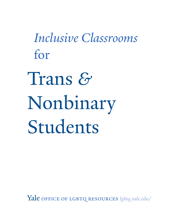*Inclusive Classrooms*  for

Trans *&* Nonbinary Students

Yale OFFICE OF LGBTQ RESOURCES *lgbtq.yale.edu/*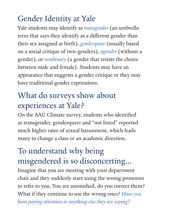# Gender Identity at Yale

Yale students may identify as *transgender* (an umbrella term that says they identify as a different gender than their sex assigned at birth), *genderqueer* (usually based on a social critique of two-genders), *agender* (without a gender), or *nonbinary* (a gender that resists the choice between male and female). Students may have an appearance that suggests a gender critique or they may have traditional gender expressions.

# What do surveys show about experiences at Yale?

On the AAU Climate survey, students who identified as transgender, genderqueer and "not listed" reported much higher rates of sexual harassment, which leads many to change a class or an academic direction.

### To understand why being misgendered is so disconcerting...

Imagine that you are meeting with your department chair and they suddenly start using the wrong pronouns to refer to you. You are astonished, do you correct them? What if they continue to use the wrong ones? *Have you* 

*been paying attention to anything else they are saying?*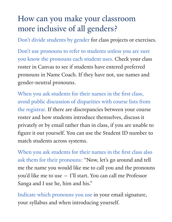### How can you make your classroom more inclusive of all genders?

Don't divide students by gender for class projects or exercises.

Don't use pronouns to refer to students unless you are sure you know the pronouns each student uses. Check your class roster in Canvas to see if students have entered preferred pronouns in Name Coach. If they have not, use names and gender-neutral pronouns.

When you ask students for their names in the first class, avoid public discussion of disparities with course lists from the registrar. If there are discrepancies between your course roster and how students introduce themselves, discuss it privately or by email rather than in class, if you are unable to figure it out yourself. You can use the Student ID number to match students across systems.

When you ask students for their names in the first class also ask them for their pronouns: "Now, let's go around and tell me the name you would like me to call you and the pronouns you'd like me to use — I'll start. You can call me Professor Sanga and I use he, him and his."

Indicate which pronouns you use in your email signature, your syllabus and when introducing yourself.